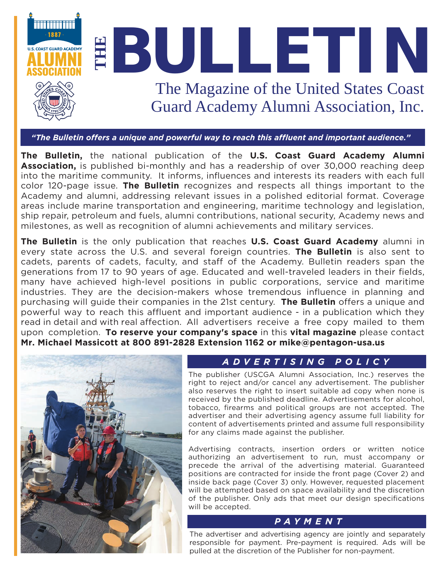

*"The Bulletin offers a unique and powerful way to reach this affluent and important audience."*

**The Bulletin,** the national publication of the **[U.S. Coast Guard Academy Alumni](https://www.cgaalumni.org/s/1043/uscga/start.aspx)  [Association,](https://www.cgaalumni.org/s/1043/uscga/start.aspx)** is published bi-monthly and has a readership of over 30,000 reaching deep into the maritime community. It informs, influences and interests its readers with each full color 120-page issue. **[The Bulletin](https://mydigitalpublication.com/publication/index.php?i=0&m=24294&l=1&ver=html5&p=&pp=&search_str=#{%22issue_id%22:490268,%22page%22:0})** recognizes and respects all things important to the Academy and alumni, addressing relevant issues in a polished editorial format. Coverage areas include marine transportation and engineering, maritime technology and legislation, ship repair, petroleum and fuels, alumni contributions, national security, Academy news and milestones, as well as recognition of alumni achievements and military services.

**The [Bulletin](https://mydigitalpublication.com/publication/index.php?i=0&m=24294&l=1&ver=html5&p=&pp=&search_str=#{%22issue_id%22:490268,%22page%22:0})** is the only publication that reaches **U.S. Coast Guard [Academy](https://www.uscga.edu/)** alumni in every state across the U.S. and several foreign countries. **[The Bulletin](https://mydigitalpublication.com/publication/index.php?i=0&m=24294&l=1&ver=html5&p=&pp=&search_str=#{%22issue_id%22:490268,%22page%22:0})** is also sent to cadets, parents of cadets, faculty, and staff of the Academy. Bulletin readers span the generations from 17 to 90 years of age. Educated and well-traveled leaders in their fields, many have achieved high-level positions in public corporations, service and maritime industries. They are the decision-makers whose tremendous influence in planning and purchasing will guide their companies in the 21st century. **[The Bulletin](https://mydigitalpublication.com/publication/index.php?i=0&m=24294&l=1&ver=html5&p=&pp=&search_str=#{%22issue_id%22:490268,%22page%22:0})** offers a unique and powerful way to reach this affluent and important audience - in a publication which they read in detail and with real affection. All advertisers receive a free copy mailed to them upon completion. **To reserve your company's space** in this **vital magazine** please contact **Mr. Michael Massicott at 800 891-2828 Extension 1162 or [mike@pentagon-usa.us](mailto:mike@pentagon-usa.us)**



### *ADVERTISING POLICY*

The publisher (USCGA Alumni Association, Inc.) reserves the right to reject and/or cancel any advertisement. The publisher also reserves the right to insert suitable ad copy when none is received by the published deadline. Advertisements for alcohol, tobacco, firearms and political groups are not accepted. The advertiser and their advertising agency assume full liability for content of advertisements printed and assume full responsibility for any claims made against the publisher.

Advertising contracts, insertion orders or written notice authorizing an advertisement to run, must accompany or precede the arrival of the advertising material. Guaranteed positions are contracted for inside the front page (Cover 2) and inside back page (Cover 3) only. However, requested placement will be attempted based on space availability and the discretion of the publisher. Only ads that meet our design specifications will be accepted.

#### *PAYMENT*

The advertiser and advertising agency are jointly and separately responsible for payment. Pre-payment is required. Ads will be pulled at the discretion of the Publisher for non-payment.